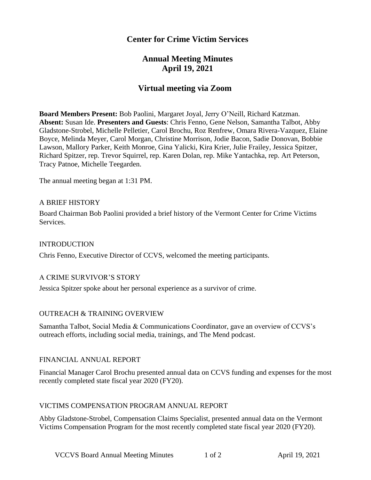# **Center for Crime Victim Services**

# **Annual Meeting Minutes April 19, 2021**

# **Virtual meeting via Zoom**

**Board Members Present:** Bob Paolini, Margaret Joyal, Jerry O'Neill, Richard Katzman. **Absent:** Susan Ide. **Presenters and Guests**: Chris Fenno, Gene Nelson, Samantha Talbot, Abby Gladstone-Strobel, Michelle Pelletier, Carol Brochu, Roz Renfrew, Omara Rivera-Vazquez, Elaine Boyce, Melinda Meyer, Carol Morgan, Christine Morrison, Jodie Bacon, Sadie Donovan, Bobbie Lawson, Mallory Parker, Keith Monroe, Gina Yalicki, Kira Krier, Julie Frailey, Jessica Spitzer, Richard Spitzer, rep. Trevor Squirrel, rep. Karen Dolan, rep. Mike Yantachka, rep. Art Peterson, Tracy Patnoe, Michelle Teegarden.

The annual meeting began at 1:31 PM.

#### A BRIEF HISTORY

Board Chairman Bob Paolini provided a brief history of the Vermont Center for Crime Victims Services.

#### INTRODUCTION

Chris Fenno, Executive Director of CCVS, welcomed the meeting participants.

### A CRIME SURVIVOR'S STORY

Jessica Spitzer spoke about her personal experience as a survivor of crime.

### OUTREACH & TRAINING OVERVIEW

Samantha Talbot, Social Media & Communications Coordinator, gave an overview of CCVS's outreach efforts, including social media, trainings, and The Mend podcast.

### FINANCIAL ANNUAL REPORT

Financial Manager Carol Brochu presented annual data on CCVS funding and expenses for the most recently completed state fiscal year 2020 (FY20).

#### VICTIMS COMPENSATION PROGRAM ANNUAL REPORT

Abby Gladstone-Strobel, Compensation Claims Specialist, presented annual data on the Vermont Victims Compensation Program for the most recently completed state fiscal year 2020 (FY20).